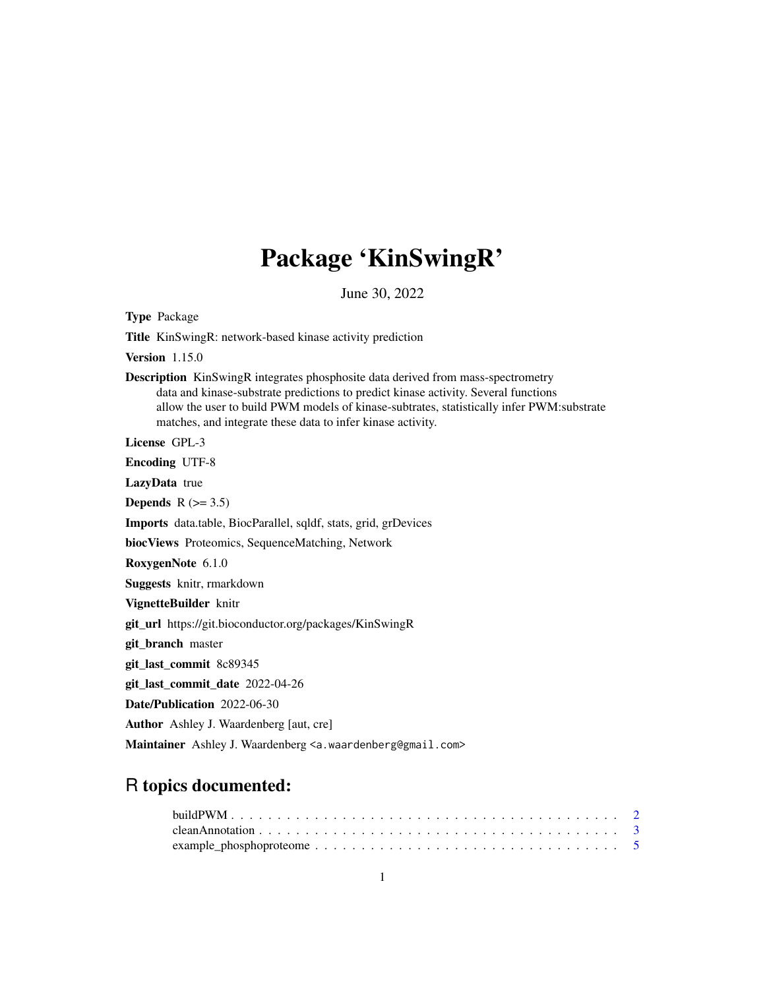# Package 'KinSwingR'

June 30, 2022

Type Package

Title KinSwingR: network-based kinase activity prediction

Version 1.15.0

Description KinSwingR integrates phosphosite data derived from mass-spectrometry data and kinase-substrate predictions to predict kinase activity. Several functions allow the user to build PWM models of kinase-subtrates, statistically infer PWM:substrate matches, and integrate these data to infer kinase activity.

License GPL-3

Encoding UTF-8

LazyData true

Depends  $R$  ( $>= 3.5$ )

Imports data.table, BiocParallel, sqldf, stats, grid, grDevices

biocViews Proteomics, SequenceMatching, Network

RoxygenNote 6.1.0

Suggests knitr, rmarkdown

VignetteBuilder knitr

git\_url https://git.bioconductor.org/packages/KinSwingR

git\_branch master

git\_last\_commit 8c89345

git\_last\_commit\_date 2022-04-26

Date/Publication 2022-06-30

Author Ashley J. Waardenberg [aut, cre]

Maintainer Ashley J. Waardenberg <a.waardenberg@gmail.com>

# R topics documented: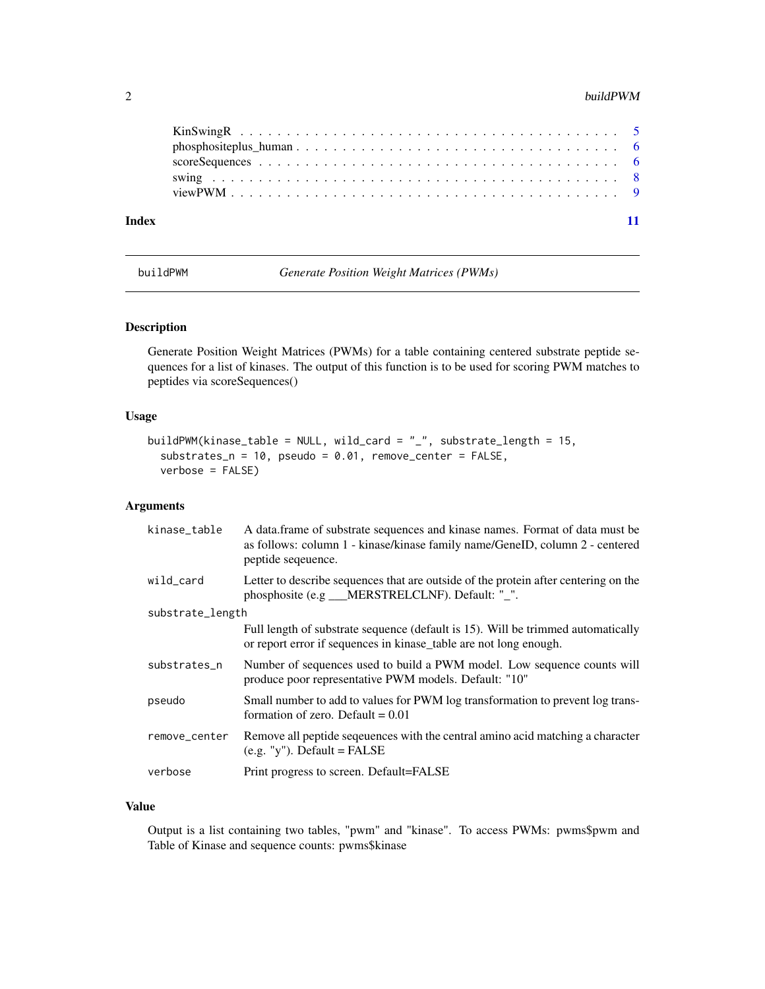#### <span id="page-1-0"></span> $2$  buildPWM

| Index |  |
|-------|--|

buildPWM *Generate Position Weight Matrices (PWMs)*

# Description

Generate Position Weight Matrices (PWMs) for a table containing centered substrate peptide sequences for a list of kinases. The output of this function is to be used for scoring PWM matches to peptides via scoreSequences()

### Usage

```
buildPWM(kinase_table = NULL, wild_card = "_", substrate_length = 15,
  substrates_n = 10, pseudo = 0.01, remove_center = FALSE,
  verbose = FALSE)
```
# Arguments

| kinase_table     | A data.frame of substrate sequences and kinase names. Format of data must be<br>as follows: column 1 - kinase/kinase family name/GeneID, column 2 - centered<br>peptide sequence. |
|------------------|-----------------------------------------------------------------------------------------------------------------------------------------------------------------------------------|
| wild_card        | Letter to describe sequences that are outside of the protein after centering on the<br>phosphosite (e.g __MERSTRELCLNF). Default: "_".                                            |
| substrate_length |                                                                                                                                                                                   |
|                  | Full length of substrate sequence (default is 15). Will be trimmed automatically<br>or report error if sequences in kinase_table are not long enough.                             |
| substrates n     | Number of sequences used to build a PWM model. Low sequence counts will<br>produce poor representative PWM models. Default: "10"                                                  |
| pseudo           | Small number to add to values for PWM log transformation to prevent log trans-<br>formation of zero. Default $= 0.01$                                                             |
| remove_center    | Remove all peptide sequences with the central amino acid matching a character<br>$(e.g. "y")$ . Default = FALSE                                                                   |
| verbose          | Print progress to screen. Default=FALSE                                                                                                                                           |

#### Value

Output is a list containing two tables, "pwm" and "kinase". To access PWMs: pwms\$pwm and Table of Kinase and sequence counts: pwms\$kinase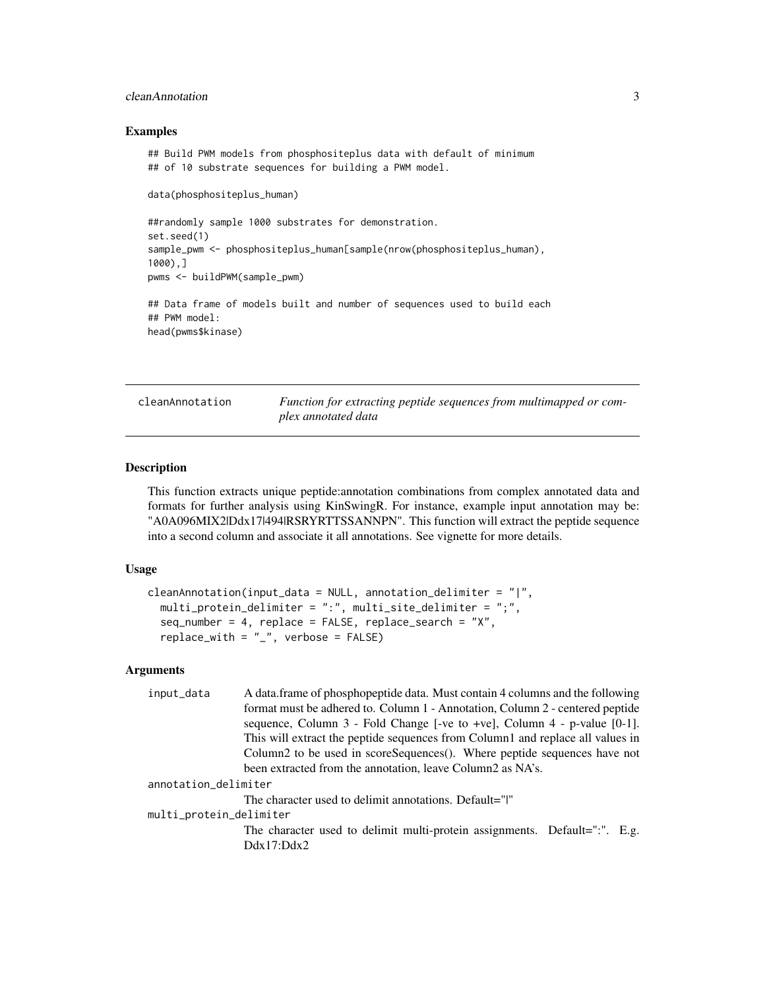# <span id="page-2-0"></span>cleanAnnotation 3

#### Examples

```
## Build PWM models from phosphositeplus data with default of minimum
## of 10 substrate sequences for building a PWM model.
data(phosphositeplus_human)
##randomly sample 1000 substrates for demonstration.
set.seed(1)
sample_pwm <- phosphositeplus_human[sample(nrow(phosphositeplus_human),
1000),]
pwms <- buildPWM(sample_pwm)
## Data frame of models built and number of sequences used to build each
## PWM model:
head(pwms$kinase)
```
cleanAnnotation *Function for extracting peptide sequences from multimapped or complex annotated data*

#### **Description**

This function extracts unique peptide:annotation combinations from complex annotated data and formats for further analysis using KinSwingR. For instance, example input annotation may be: "A0A096MIX2|Ddx17|494|RSRYRTTSSANNPN". This function will extract the peptide sequence into a second column and associate it all annotations. See vignette for more details.

#### Usage

```
cleanAnnotation(input_data = NULL, annotation_delimiter = "|",
 multi_protein_delimiter = ":", multi_site_delimiter = ";",
  seq_number = 4, replace = FALSE, replace\_search = "X",replace\_with = "__", verbose = FALSE)
```
# Arguments

| A data frame of phosphopeptide data. Must contain 4 columns and the following  |
|--------------------------------------------------------------------------------|
| format must be adhered to. Column 1 - Annotation, Column 2 - centered peptide  |
| sequence, Column $3$ - Fold Change [-ve to +ve], Column $4$ - p-value [0-1].   |
| This will extract the peptide sequences from Column1 and replace all values in |
| Column2 to be used in scoreSequences(). Where peptide sequences have not       |
| been extracted from the annotation, leave Column2 as NA's.                     |
| annotation_delimiter                                                           |
| The character used to delimit annotations. Default=" "                         |
| multi_protein_delimiter                                                        |
| The character used to delimit multi-protein assignments. Default=":". E.g.     |
| Ddx17:Ddx2                                                                     |
|                                                                                |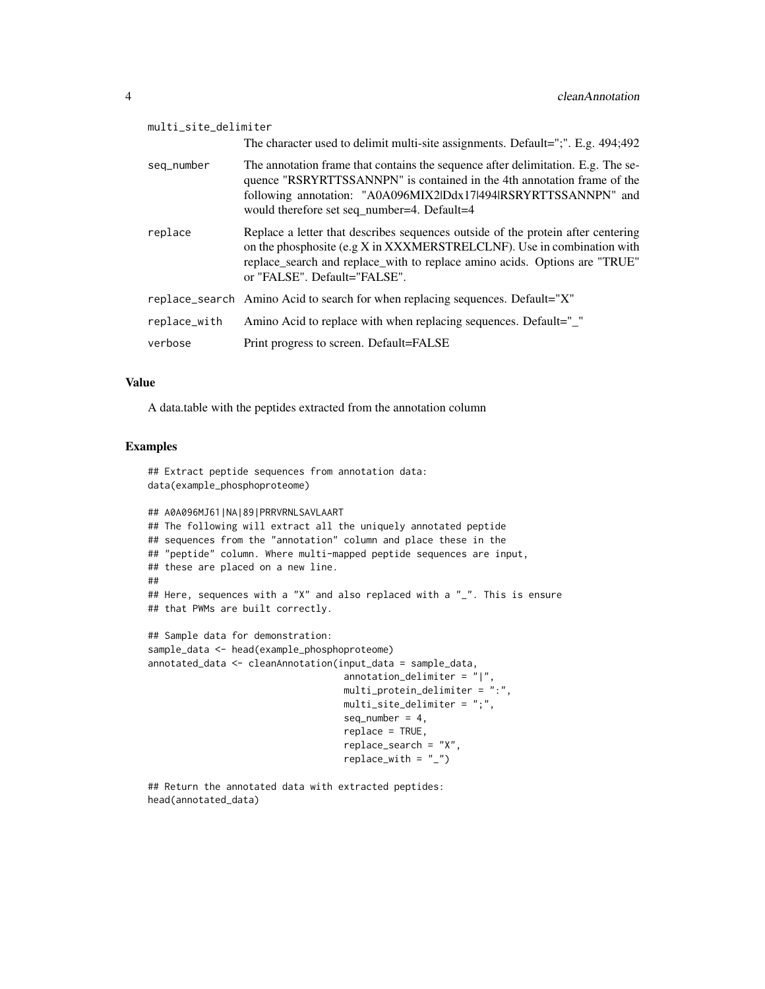| multi_site_delimiter |                                                                                                                                                                                                                                                                               |
|----------------------|-------------------------------------------------------------------------------------------------------------------------------------------------------------------------------------------------------------------------------------------------------------------------------|
|                      | The character used to delimit multi-site assignments. Default=";". E.g. 494;492                                                                                                                                                                                               |
| seg_number           | The annotation frame that contains the sequence after delimitation. E.g. The se-<br>quence "RSRYRTTSSANNPN" is contained in the 4th annotation frame of the<br>following annotation: "A0A096MIX2lDdx17l494lRSRYRTTSSANNPN" and<br>would therefore set seq_number=4. Default=4 |
| replace              | Replace a letter that describes sequences outside of the protein after centering<br>on the phosphosite (e.g X in XXXMERSTRELCLNF). Use in combination with<br>replace_search and replace_with to replace amino acids. Options are "TRUE"<br>or "FALSE". Default="FALSE".      |
|                      | replace_search Amino Acid to search for when replacing sequences. Default="X"                                                                                                                                                                                                 |
| replace_with         | Amino Acid to replace with when replacing sequences. Default="_"                                                                                                                                                                                                              |
| verbose              | Print progress to screen. Default=FALSE                                                                                                                                                                                                                                       |

#### Value

A data.table with the peptides extracted from the annotation column

## Extract peptide sequences from annotation data:

#### Examples

```
data(example_phosphoproteome)
## A0A096MJ61|NA|89|PRRVRNLSAVLAART
## The following will extract all the uniquely annotated peptide
## sequences from the "annotation" column and place these in the
## "peptide" column. Where multi-mapped peptide sequences are input,
## these are placed on a new line.
##
## Here, sequences with a "X" and also replaced with a "_". This is ensure
## that PWMs are built correctly.
## Sample data for demonstration:
sample_data <- head(example_phosphoproteome)
annotated_data <- cleanAnnotation(input_data = sample_data,
                                   annotation_delimiter = "|",
                                   multi_protein_delimiter = ":",
                                   multi_site_delimiter = ";",
                                   seq_number = 4,
                                   replace = TRUE,
                                   replace_search = "X",
                                   replace_with = "_")
```
## Return the annotated data with extracted peptides: head(annotated\_data)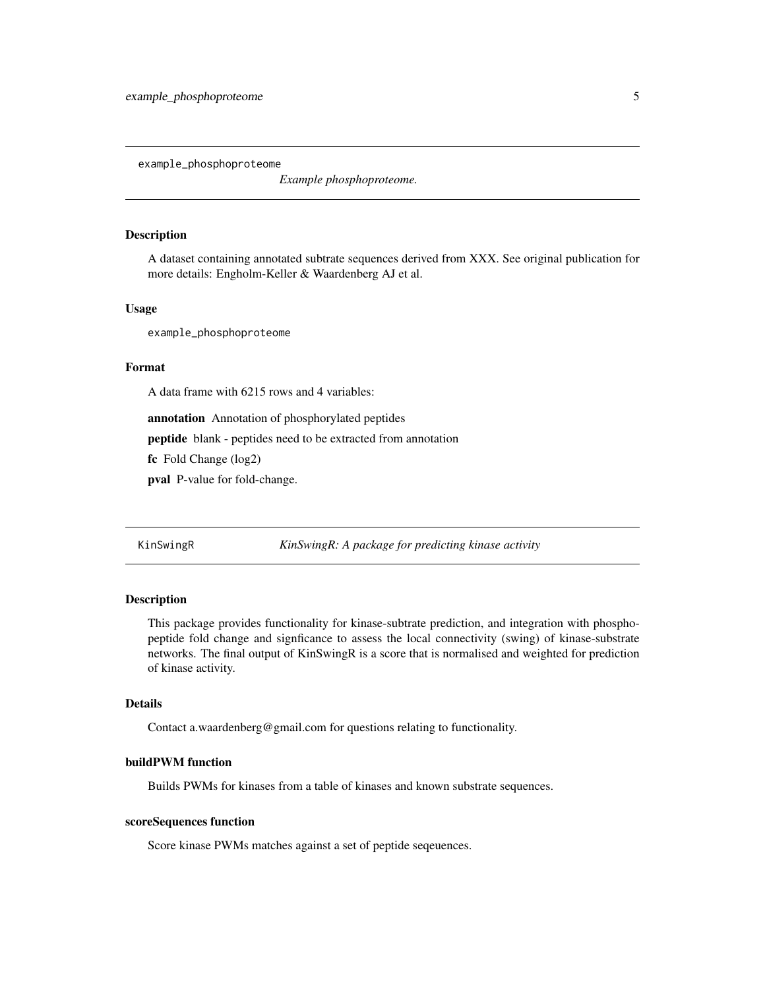<span id="page-4-0"></span>example\_phosphoproteome

*Example phosphoproteome.*

# Description

A dataset containing annotated subtrate sequences derived from XXX. See original publication for more details: Engholm-Keller & Waardenberg AJ et al.

#### Usage

example\_phosphoproteome

#### Format

A data frame with 6215 rows and 4 variables:

annotation Annotation of phosphorylated peptides

peptide blank - peptides need to be extracted from annotation

fc Fold Change (log2)

pval P-value for fold-change.

KinSwingR *KinSwingR: A package for predicting kinase activity*

#### Description

This package provides functionality for kinase-subtrate prediction, and integration with phosphopeptide fold change and signficance to assess the local connectivity (swing) of kinase-substrate networks. The final output of KinSwingR is a score that is normalised and weighted for prediction of kinase activity.

#### Details

Contact a.waardenberg@gmail.com for questions relating to functionality.

# buildPWM function

Builds PWMs for kinases from a table of kinases and known substrate sequences.

# scoreSequences function

Score kinase PWMs matches against a set of peptide seqeuences.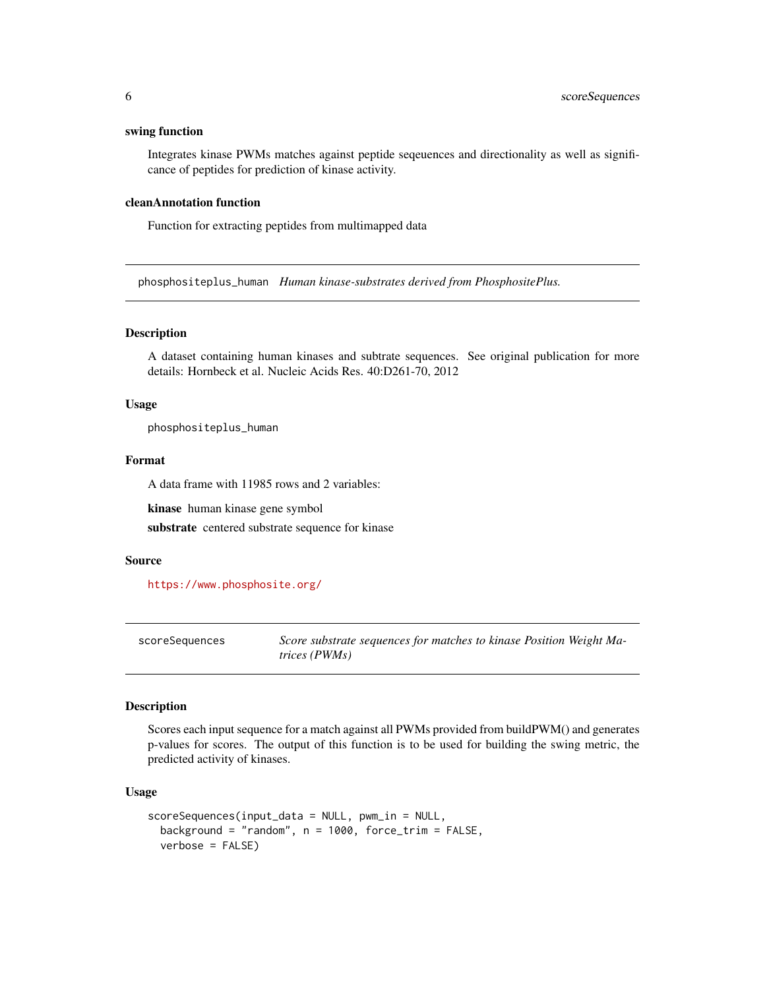#### <span id="page-5-0"></span>swing function

Integrates kinase PWMs matches against peptide seqeuences and directionality as well as significance of peptides for prediction of kinase activity.

#### cleanAnnotation function

Function for extracting peptides from multimapped data

phosphositeplus\_human *Human kinase-substrates derived from PhosphositePlus.*

#### Description

A dataset containing human kinases and subtrate sequences. See original publication for more details: Hornbeck et al. Nucleic Acids Res. 40:D261-70, 2012

#### Usage

phosphositeplus\_human

# Format

A data frame with 11985 rows and 2 variables:

kinase human kinase gene symbol

substrate centered substrate sequence for kinase

#### Source

<https://www.phosphosite.org/>

scoreSequences *Score substrate sequences for matches to kinase Position Weight Matrices (PWMs)*

#### **Description**

Scores each input sequence for a match against all PWMs provided from buildPWM() and generates p-values for scores. The output of this function is to be used for building the swing metric, the predicted activity of kinases.

#### Usage

```
scoreSequences(input_data = NULL, pwm_in = NULL,
 background = "random", n = 1000, force_trim = FALSE,
 verbose = FALSE)
```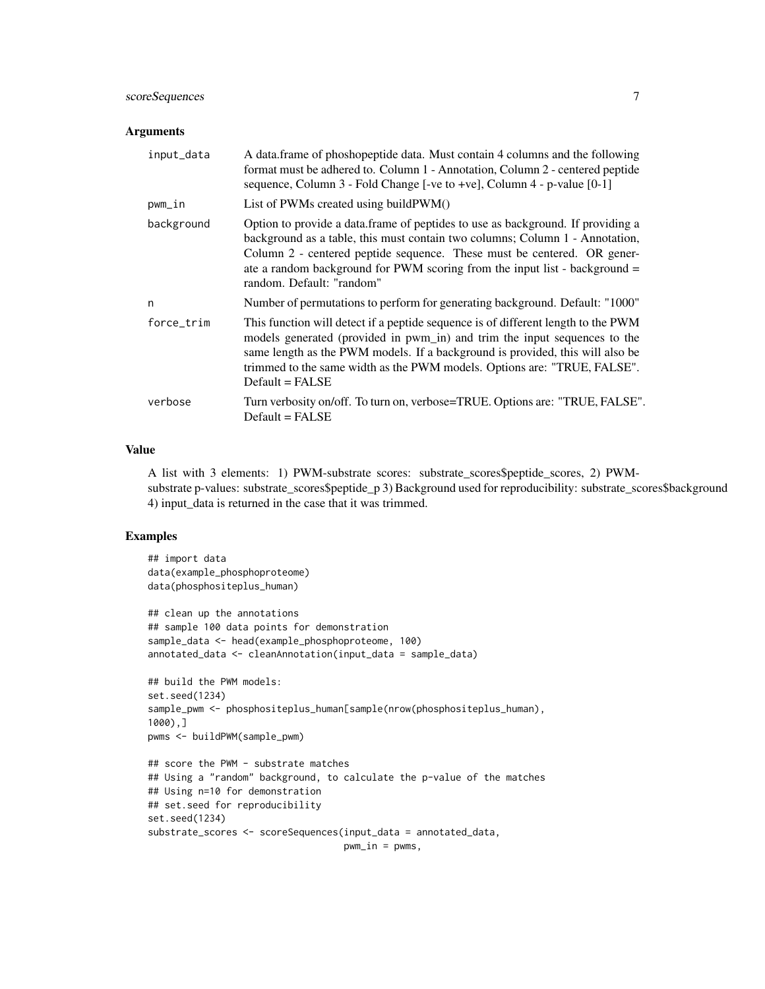# scoreSequences 7

#### **Arguments**

| input_data | A data.frame of phoshopeptide data. Must contain 4 columns and the following<br>format must be adhered to. Column 1 - Annotation, Column 2 - centered peptide<br>sequence, Column 3 - Fold Change [-ve to +ve], Column 4 - p-value [0-1]                                                                                                              |
|------------|-------------------------------------------------------------------------------------------------------------------------------------------------------------------------------------------------------------------------------------------------------------------------------------------------------------------------------------------------------|
| pwm_in     | List of PWMs created using buildPWM()                                                                                                                                                                                                                                                                                                                 |
| background | Option to provide a data.frame of peptides to use as background. If providing a<br>background as a table, this must contain two columns; Column 1 - Annotation,<br>Column 2 - centered peptide sequence. These must be centered. OR gener-<br>ate a random background for PWM scoring from the input list - background =<br>random. Default: "random" |
| n          | Number of permutations to perform for generating background. Default: "1000"                                                                                                                                                                                                                                                                          |
| force trim | This function will detect if a peptide sequence is of different length to the PWM<br>models generated (provided in pwm_in) and trim the input sequences to the<br>same length as the PWM models. If a background is provided, this will also be<br>trimmed to the same width as the PWM models. Options are: "TRUE, FALSE".<br>$Default = FALSE$      |
| verbose    | Turn verbosity on/off. To turn on, verbose=TRUE. Options are: "TRUE, FALSE".<br>$Default = FALSE$                                                                                                                                                                                                                                                     |

# Value

A list with 3 elements: 1) PWM-substrate scores: substrate\_scores\$peptide\_scores, 2) PWMsubstrate p-values: substrate\_scores\$peptide\_p 3) Background used for reproducibility: substrate\_scores\$background 4) input\_data is returned in the case that it was trimmed.

# Examples

```
## import data
data(example_phosphoproteome)
data(phosphositeplus_human)
## clean up the annotations
## sample 100 data points for demonstration
sample_data <- head(example_phosphoproteome, 100)
annotated_data <- cleanAnnotation(input_data = sample_data)
## build the PWM models:
set.seed(1234)
sample_pwm <- phosphositeplus_human[sample(nrow(phosphositeplus_human),
1000),]
pwms <- buildPWM(sample_pwm)
## score the PWM - substrate matches
## Using a "random" background, to calculate the p-value of the matches
## Using n=10 for demonstration
## set.seed for reproducibility
set.seed(1234)
substrate_scores <- scoreSequences(input_data = annotated_data,
                                   pwm_in = pwms,
```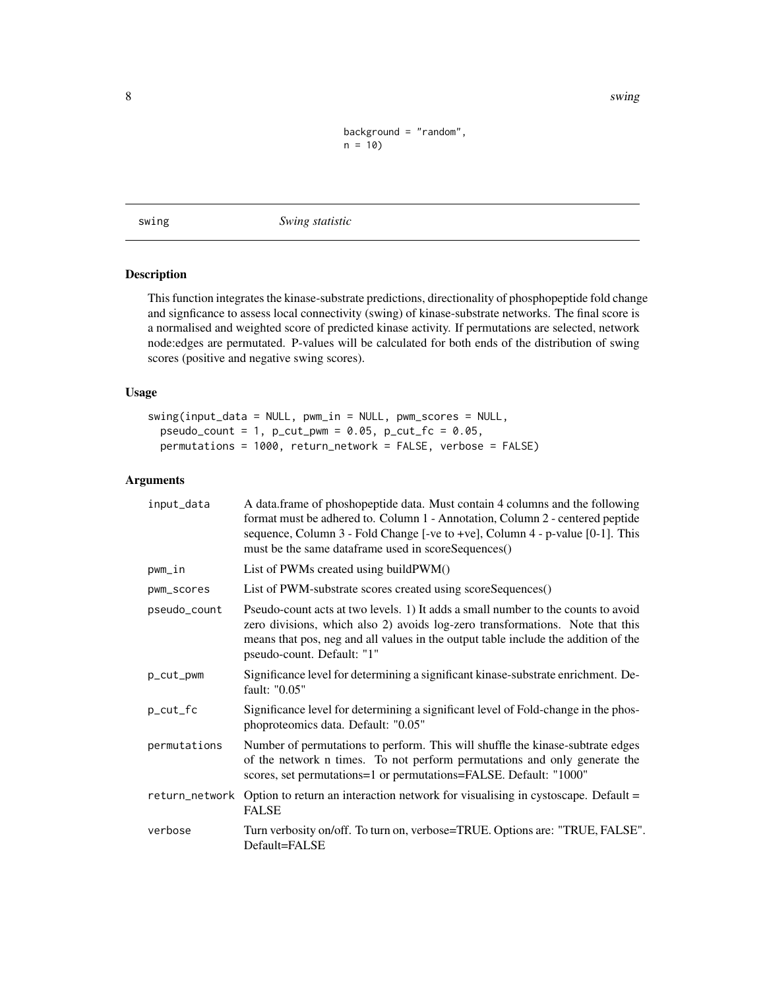<span id="page-7-0"></span>8 swing to the contract of the contract of the contract of the contract of the contract of the contract of the contract of the contract of the contract of the contract of the contract of the contract of the contract of the

```
background = "random",
n = 10
```
swing *Swing statistic*

# **Description**

This function integrates the kinase-substrate predictions, directionality of phosphopeptide fold change and signficance to assess local connectivity (swing) of kinase-substrate networks. The final score is a normalised and weighted score of predicted kinase activity. If permutations are selected, network node:edges are permutated. P-values will be calculated for both ends of the distribution of swing scores (positive and negative swing scores).

# Usage

```
swing(input_data = NULL, pwm_in = NULL, pwm_scores = NULL,
 pseudo_count = 1, p_{cut\_pwm} = 0.05, p_{cut\_fc} = 0.05,
 permutations = 1000, return_network = FALSE, verbose = FALSE)
```
# Arguments

| input_data     | A data.frame of phoshopeptide data. Must contain 4 columns and the following<br>format must be adhered to. Column 1 - Annotation, Column 2 - centered peptide<br>sequence, Column 3 - Fold Change [-ve to +ve], Column 4 - p-value [0-1]. This<br>must be the same dataframe used in scoreSequences() |
|----------------|-------------------------------------------------------------------------------------------------------------------------------------------------------------------------------------------------------------------------------------------------------------------------------------------------------|
| pwm_in         | List of PWMs created using buildPWM()                                                                                                                                                                                                                                                                 |
| pwm_scores     | List of PWM-substrate scores created using scoreSequences()                                                                                                                                                                                                                                           |
| pseudo_count   | Pseudo-count acts at two levels. 1) It adds a small number to the counts to avoid<br>zero divisions, which also 2) avoids log-zero transformations. Note that this<br>means that pos, neg and all values in the output table include the addition of the<br>pseudo-count. Default: "1"                |
| p_cut_pwm      | Significance level for determining a significant kinase-substrate enrichment. De-<br>fault: "0.05"                                                                                                                                                                                                    |
| p_cut_fc       | Significance level for determining a significant level of Fold-change in the phos-<br>phoproteomics data. Default: "0.05"                                                                                                                                                                             |
| permutations   | Number of permutations to perform. This will shuffle the kinase-subtrate edges<br>of the network n times. To not perform permutations and only generate the<br>scores, set permutations=1 or permutations=FALSE. Default: "1000"                                                                      |
| return_network | Option to return an interaction network for visualising in cystoscape. Default =<br><b>FALSE</b>                                                                                                                                                                                                      |
| verbose        | Turn verbosity on/off. To turn on, verbose=TRUE. Options are: "TRUE, FALSE".<br>Default=FALSE                                                                                                                                                                                                         |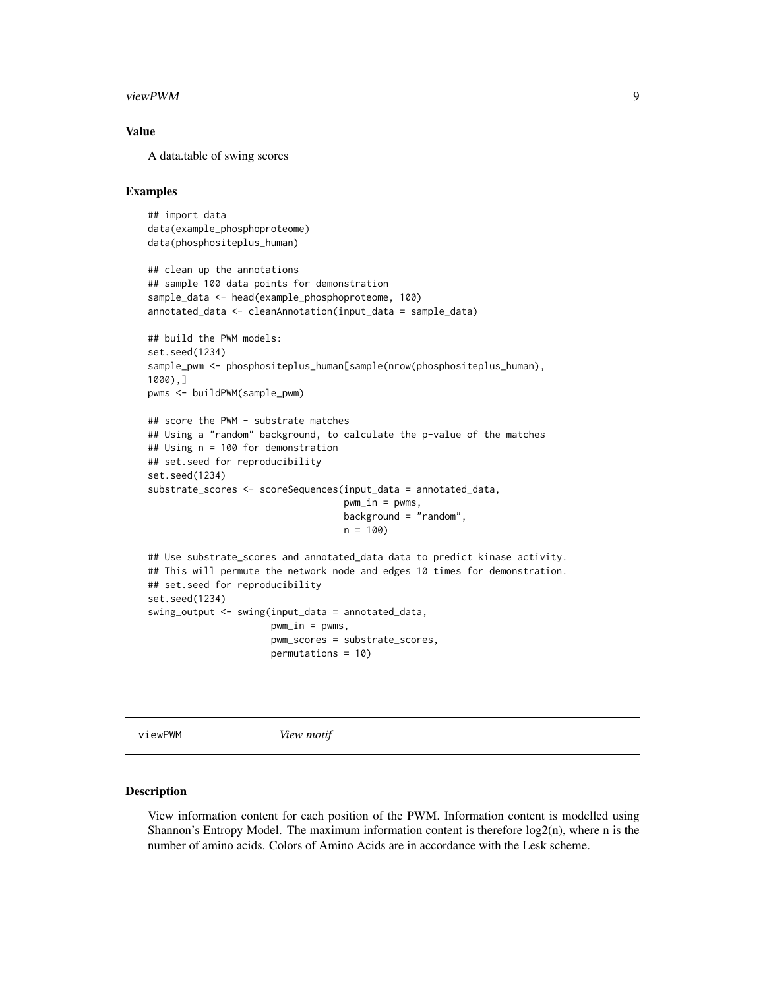#### <span id="page-8-0"></span>viewPWM 9

# Value

A data.table of swing scores

# Examples

```
## import data
data(example_phosphoproteome)
data(phosphositeplus_human)
## clean up the annotations
## sample 100 data points for demonstration
sample_data <- head(example_phosphoproteome, 100)
annotated_data <- cleanAnnotation(input_data = sample_data)
## build the PWM models:
set.seed(1234)
sample_pwm <- phosphositeplus_human[sample(nrow(phosphositeplus_human),
1000),]
pwms <- buildPWM(sample_pwm)
## score the PWM - substrate matches
## Using a "random" background, to calculate the p-value of the matches
## Using n = 100 for demonstration
## set.seed for reproducibility
set.seed(1234)
substrate_scores <- scoreSequences(input_data = annotated_data,
                                   pwm_in = pwms,
                                   background = "random",
                                   n = 100## Use substrate_scores and annotated_data data to predict kinase activity.
## This will permute the network node and edges 10 times for demonstration.
## set.seed for reproducibility
set.seed(1234)
swing_output <- swing(input_data = annotated_data,
                      pwm_in = pwms,
                      pwm_scores = substrate_scores,
                      permutations = 10)
```
viewPWM *View motif*

#### **Description**

View information content for each position of the PWM. Information content is modelled using Shannon's Entropy Model. The maximum information content is therefore  $log(2(n))$ , where n is the number of amino acids. Colors of Amino Acids are in accordance with the Lesk scheme.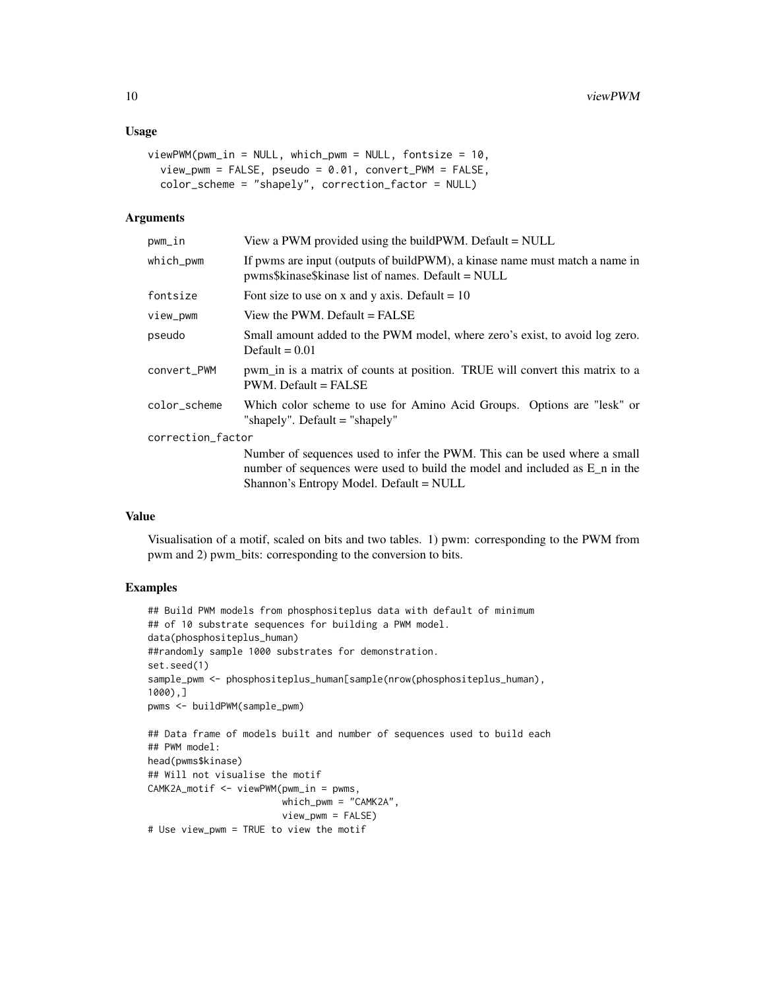#### Usage

```
viewPWM(pwm_in = NULL, which_pwm = NULL, fontsize = 10,view_pwm = FALSE, pseudo = 0.01, convert_PWM = FALSE,
  color_scheme = "shapely", correction_factor = NULL)
```
#### Arguments

| pwm_in            | View a PWM provided using the build PWM. Default $=$ NULL                                                                                                                                             |
|-------------------|-------------------------------------------------------------------------------------------------------------------------------------------------------------------------------------------------------|
| which_pwm         | If pwms are input (outputs of build PWM), a kinase name must match a name in<br>pwms\$kinase\$kinase list of names. Default = NULL                                                                    |
| fontsize          | Font size to use on x and y axis. Default = $10$                                                                                                                                                      |
| view_pwm          | View the PWM. Default = FALSE                                                                                                                                                                         |
| pseudo            | Small amount added to the PWM model, where zero's exist, to avoid log zero.<br>Default = $0.01$                                                                                                       |
| convert_PWM       | pwm_in is a matrix of counts at position. TRUE will convert this matrix to a<br>$PWM$ . Default = FALSE                                                                                               |
| color_scheme      | Which color scheme to use for Amino Acid Groups. Options are "lesk" or<br>"shapely". Default = "shapely"                                                                                              |
| correction_factor |                                                                                                                                                                                                       |
|                   | Number of sequences used to infer the PWM. This can be used where a small<br>number of sequences were used to build the model and included as $E_n$ in the<br>Shannon's Entropy Model. Default = NULL |

#### Value

Visualisation of a motif, scaled on bits and two tables. 1) pwm: corresponding to the PWM from pwm and 2) pwm\_bits: corresponding to the conversion to bits.

# Examples

```
## Build PWM models from phosphositeplus data with default of minimum
## of 10 substrate sequences for building a PWM model.
data(phosphositeplus_human)
##randomly sample 1000 substrates for demonstration.
set.seed(1)
sample_pwm <- phosphositeplus_human[sample(nrow(phosphositeplus_human),
1000),]
pwms <- buildPWM(sample_pwm)
## Data frame of models built and number of sequences used to build each
## PWM model:
head(pwms$kinase)
## Will not visualise the motif
CAMK2A_motif <- viewPWM(pwm_in = pwms,
                        which_pwm = "CAMK2A",
                        view_pwm = FALSE)
# Use view_pwm = TRUE to view the motif
```